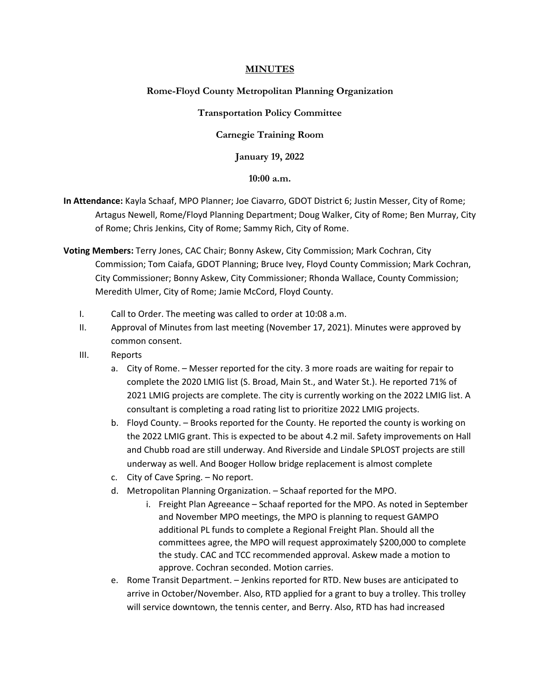# **MINUTES**

## **Rome-Floyd County Metropolitan Planning Organization**

### **Transportation Policy Committee**

## **Carnegie Training Room**

**January 19, 2022**

### **10:00 a.m.**

- **In Attendance:** Kayla Schaaf, MPO Planner; Joe Ciavarro, GDOT District 6; Justin Messer, City of Rome; Artagus Newell, Rome/Floyd Planning Department; Doug Walker, City of Rome; Ben Murray, City of Rome; Chris Jenkins, City of Rome; Sammy Rich, City of Rome.
- **Voting Members:** Terry Jones, CAC Chair; Bonny Askew, City Commission; Mark Cochran, City Commission; Tom Caiafa, GDOT Planning; Bruce Ivey, Floyd County Commission; Mark Cochran, City Commissioner; Bonny Askew, City Commissioner; Rhonda Wallace, County Commission; Meredith Ulmer, City of Rome; Jamie McCord, Floyd County.
	- I. Call to Order. The meeting was called to order at 10:08 a.m.
	- II. Approval of Minutes from last meeting (November 17, 2021). Minutes were approved by common consent.
	- III. Reports
		- a. City of Rome. Messer reported for the city. 3 more roads are waiting for repair to complete the 2020 LMIG list (S. Broad, Main St., and Water St.). He reported 71% of 2021 LMIG projects are complete. The city is currently working on the 2022 LMIG list. A consultant is completing a road rating list to prioritize 2022 LMIG projects.
		- b. Floyd County. Brooks reported for the County. He reported the county is working on the 2022 LMIG grant. This is expected to be about 4.2 mil. Safety improvements on Hall and Chubb road are still underway. And Riverside and Lindale SPLOST projects are still underway as well. And Booger Hollow bridge replacement is almost complete
		- c. City of Cave Spring. No report.
		- d. Metropolitan Planning Organization. Schaaf reported for the MPO.
			- i. Freight Plan Agreeance Schaaf reported for the MPO. As noted in September and November MPO meetings, the MPO is planning to request GAMPO additional PL funds to complete a Regional Freight Plan. Should all the committees agree, the MPO will request approximately \$200,000 to complete the study. CAC and TCC recommended approval. Askew made a motion to approve. Cochran seconded. Motion carries.
		- e. Rome Transit Department. Jenkins reported for RTD. New buses are anticipated to arrive in October/November. Also, RTD applied for a grant to buy a trolley. This trolley will service downtown, the tennis center, and Berry. Also, RTD has had increased